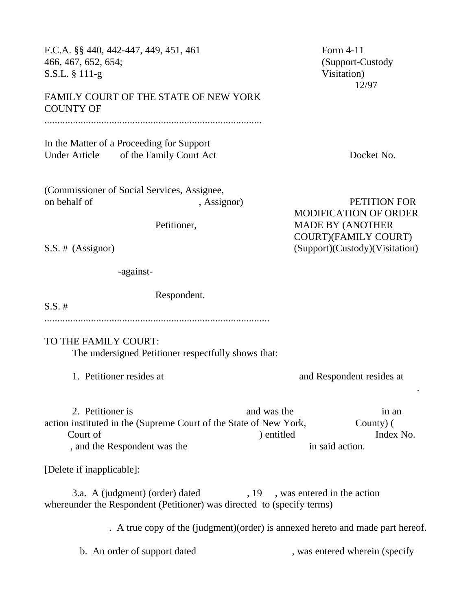466, 467, 652, 654; (Support-Custody S.S.L. § 111-g Visitation) 12/97 FAMILY COURT OF THE STATE OF NEW YORK COUNTY OF .................................................................................... In the Matter of a Proceeding for Support Under Article of the Family Court Act Docket No. (Commissioner of Social Services, Assignee, on behalf of , Assignor , Assignor , Assignor PETITION FOR MODIFICATION OF ORDER Petitioner, MADE BY (ANOTHER COURT)(FAMILY COURT) S.S. # (Assignor) (Support)(Custody)(Visitation) -against-Respondent.  $S.S. \#$ ....................................................................................... TO THE FAMILY COURT: The undersigned Petitioner respectfully shows that: 1. Petitioner resides at and Respondent resides at and Respondent resides at . 2. Petitioner is and was the in an in an in an in an in an in an in an in an in an in an in an in an in an in an in an in an in an in an in an in an in an in an in an in an in an in an in an in an in an in an in an in an i action instituted in the (Supreme Court of the State of New York, County) ( Court of  $\qquad \qquad$  ) entitled Index No. , and the Respondent was the in said action. [Delete if inapplicable]: 3.a. A (judgment) (order) dated , 19, was entered in the action whereunder the Respondent (Petitioner) was directed to (specify terms) . A true copy of the (judgment)(order) is annexed hereto and made part hereof. b. An order of support dated , was entered wherein (specify

F.C.A. §§ 440, 442-447, 449, 451, 461 Form 4-11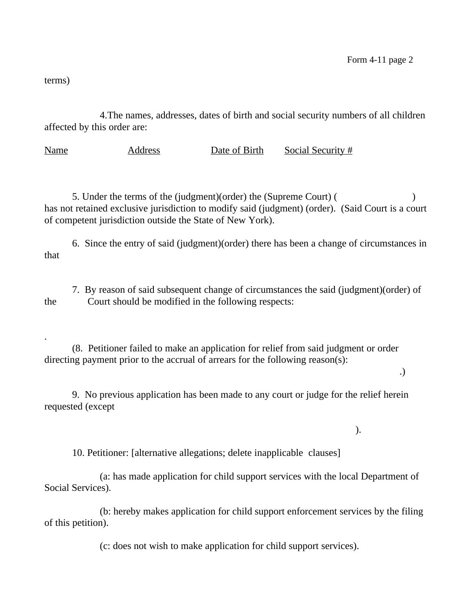terms)

.

4.The names, addresses, dates of birth and social security numbers of all children affected by this order are:

Name Address Date of Birth Social Security #

5. Under the terms of the (judgment)(order) the (Supreme Court) ( ) has not retained exclusive jurisdiction to modify said (judgment) (order). (Said Court is a court of competent jurisdiction outside the State of New York).

6. Since the entry of said (judgment)(order) there has been a change of circumstances in that

7. By reason of said subsequent change of circumstances the said (judgment)(order) of the Court should be modified in the following respects:

(8. Petitioner failed to make an application for relief from said judgment or order directing payment prior to the accrual of arrears for the following reason(s):

.)

9. No previous application has been made to any court or judge for the relief herein requested (except

).

10. Petitioner: [alternative allegations; delete inapplicable clauses]

(a: has made application for child support services with the local Department of Social Services).

(b: hereby makes application for child support enforcement services by the filing of this petition).

(c: does not wish to make application for child support services).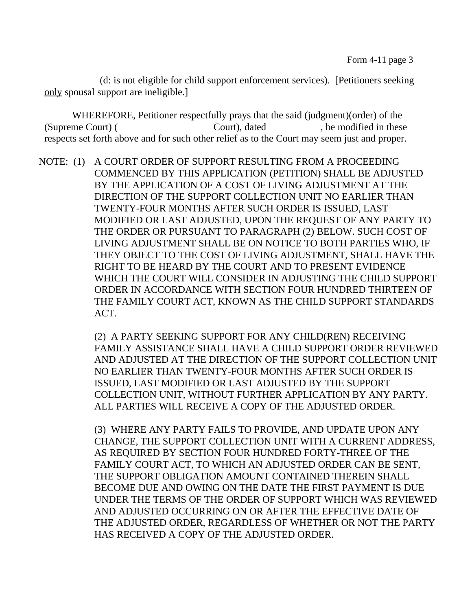(d: is not eligible for child support enforcement services). [Petitioners seeking only spousal support are ineligible.]

WHEREFORE, Petitioner respectfully prays that the said (judgment)(order) of the (Supreme Court) (Court), dated , be modified in these respects set forth above and for such other relief as to the Court may seem just and proper.

NOTE: (1) A COURT ORDER OF SUPPORT RESULTING FROM A PROCEEDING COMMENCED BY THIS APPLICATION (PETITION) SHALL BE ADJUSTED BY THE APPLICATION OF A COST OF LIVING ADJUSTMENT AT THE DIRECTION OF THE SUPPORT COLLECTION UNIT NO EARLIER THAN TWENTY-FOUR MONTHS AFTER SUCH ORDER IS ISSUED, LAST MODIFIED OR LAST ADJUSTED, UPON THE REQUEST OF ANY PARTY TO THE ORDER OR PURSUANT TO PARAGRAPH (2) BELOW. SUCH COST OF LIVING ADJUSTMENT SHALL BE ON NOTICE TO BOTH PARTIES WHO, IF THEY OBJECT TO THE COST OF LIVING ADJUSTMENT, SHALL HAVE THE RIGHT TO BE HEARD BY THE COURT AND TO PRESENT EVIDENCE WHICH THE COURT WILL CONSIDER IN ADJUSTING THE CHILD SUPPORT ORDER IN ACCORDANCE WITH SECTION FOUR HUNDRED THIRTEEN OF THE FAMILY COURT ACT, KNOWN AS THE CHILD SUPPORT STANDARDS ACT.

> (2) A PARTY SEEKING SUPPORT FOR ANY CHILD(REN) RECEIVING FAMILY ASSISTANCE SHALL HAVE A CHILD SUPPORT ORDER REVIEWED AND ADJUSTED AT THE DIRECTION OF THE SUPPORT COLLECTION UNIT NO EARLIER THAN TWENTY-FOUR MONTHS AFTER SUCH ORDER IS ISSUED, LAST MODIFIED OR LAST ADJUSTED BY THE SUPPORT COLLECTION UNIT, WITHOUT FURTHER APPLICATION BY ANY PARTY. ALL PARTIES WILL RECEIVE A COPY OF THE ADJUSTED ORDER.

> (3) WHERE ANY PARTY FAILS TO PROVIDE, AND UPDATE UPON ANY CHANGE, THE SUPPORT COLLECTION UNIT WITH A CURRENT ADDRESS, AS REQUIRED BY SECTION FOUR HUNDRED FORTY-THREE OF THE FAMILY COURT ACT, TO WHICH AN ADJUSTED ORDER CAN BE SENT, THE SUPPORT OBLIGATION AMOUNT CONTAINED THEREIN SHALL BECOME DUE AND OWING ON THE DATE THE FIRST PAYMENT IS DUE UNDER THE TERMS OF THE ORDER OF SUPPORT WHICH WAS REVIEWED AND ADJUSTED OCCURRING ON OR AFTER THE EFFECTIVE DATE OF THE ADJUSTED ORDER, REGARDLESS OF WHETHER OR NOT THE PARTY HAS RECEIVED A COPY OF THE ADJUSTED ORDER.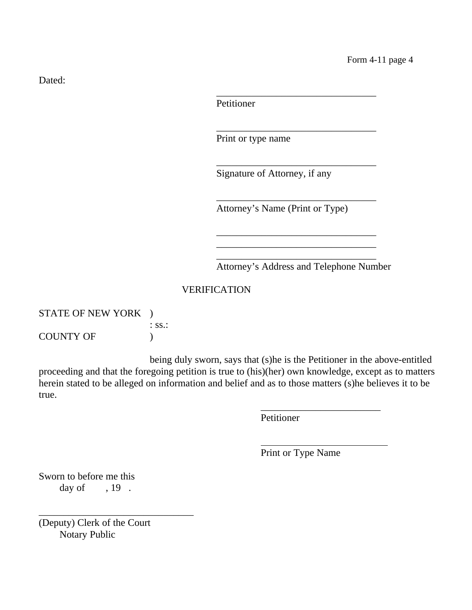Dated:

Petitioner

Print or type name

Signature of Attorney, if any

Attorney's Name (Print or Type)

\_\_\_\_\_\_\_\_\_\_\_\_\_\_\_\_\_\_\_\_\_\_\_\_\_\_\_\_\_\_\_\_

\_\_\_\_\_\_\_\_\_\_\_\_\_\_\_\_\_\_\_\_\_\_\_\_\_\_\_\_\_\_\_\_

\_\_\_\_\_\_\_\_\_\_\_\_\_\_\_\_\_\_\_\_\_\_\_\_\_\_\_\_\_\_\_\_

\_\_\_\_\_\_\_\_\_\_\_\_\_\_\_\_\_\_\_\_\_\_\_\_\_\_\_\_\_\_\_\_

\_\_\_\_\_\_\_\_\_\_\_\_\_\_\_\_\_\_\_\_\_\_\_\_\_\_\_\_\_\_\_\_ \_\_\_\_\_\_\_\_\_\_\_\_\_\_\_\_\_\_\_\_\_\_\_\_\_\_\_\_\_\_\_\_ \_\_\_\_\_\_\_\_\_\_\_\_\_\_\_\_\_\_\_\_\_\_\_\_\_\_\_\_\_\_\_\_

Attorney's Address and Telephone Number

## VERIFICATION

| STATE OF NEW YORK ) |                   |
|---------------------|-------------------|
|                     | $\therefore$ SS.: |
| <b>COUNTY OF</b>    |                   |

being duly sworn, says that (s)he is the Petitioner in the above-entitled proceeding and that the foregoing petition is true to (his)(her) own knowledge, except as to matters herein stated to be alleged on information and belief and as to those matters (s)he believes it to be true.

Petitioner

 $\overline{a}$ 

Print or Type Name

\_\_\_\_\_\_\_\_\_\_\_\_\_\_\_\_\_\_\_\_\_\_\_\_

Sworn to before me this day of  $, 19$ .

(Deputy) Clerk of the Court Notary Public

\_\_\_\_\_\_\_\_\_\_\_\_\_\_\_\_\_\_\_\_\_\_\_\_\_\_\_\_\_\_\_